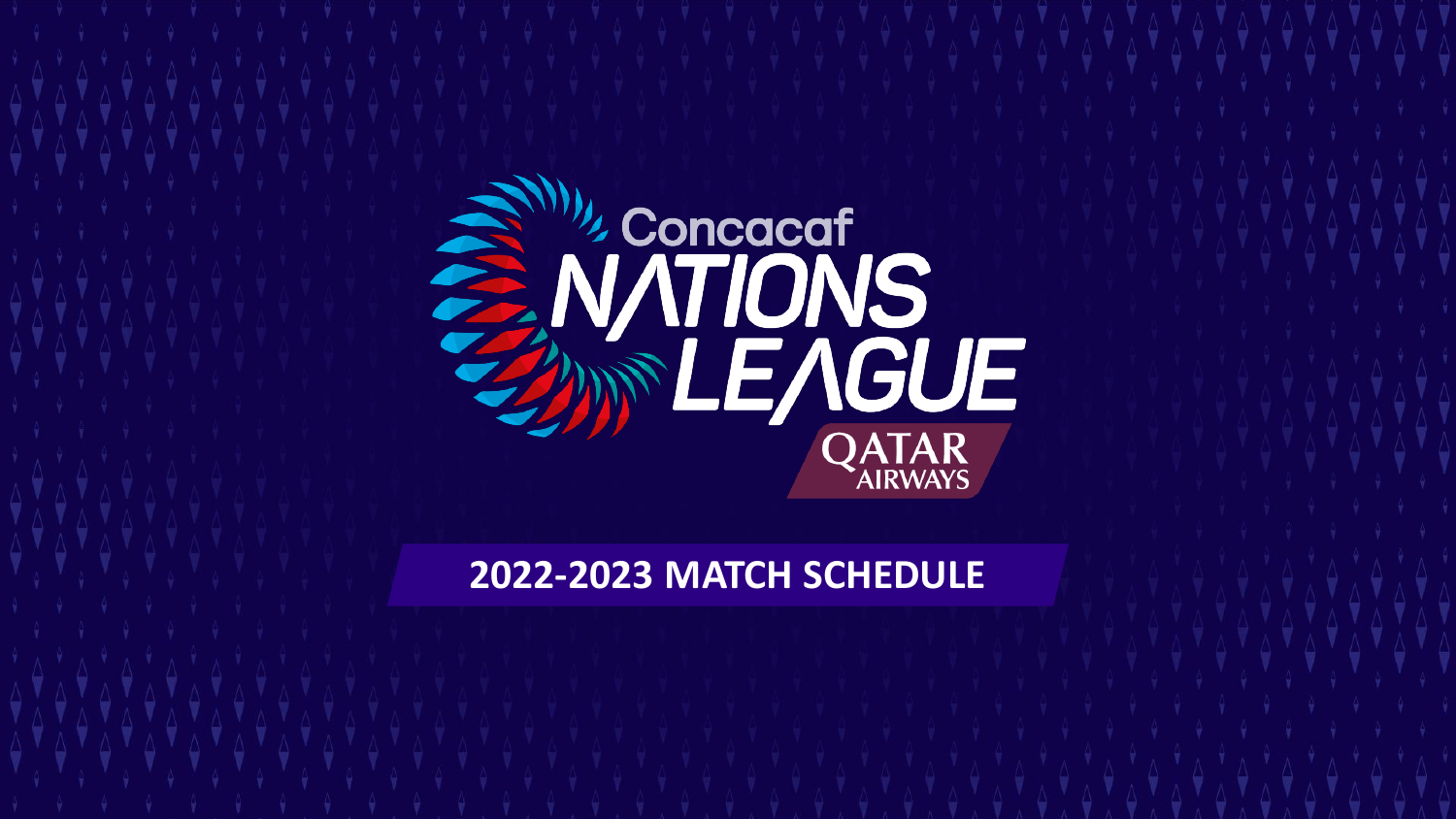

**2022-2023 MATCH SCHEDULE**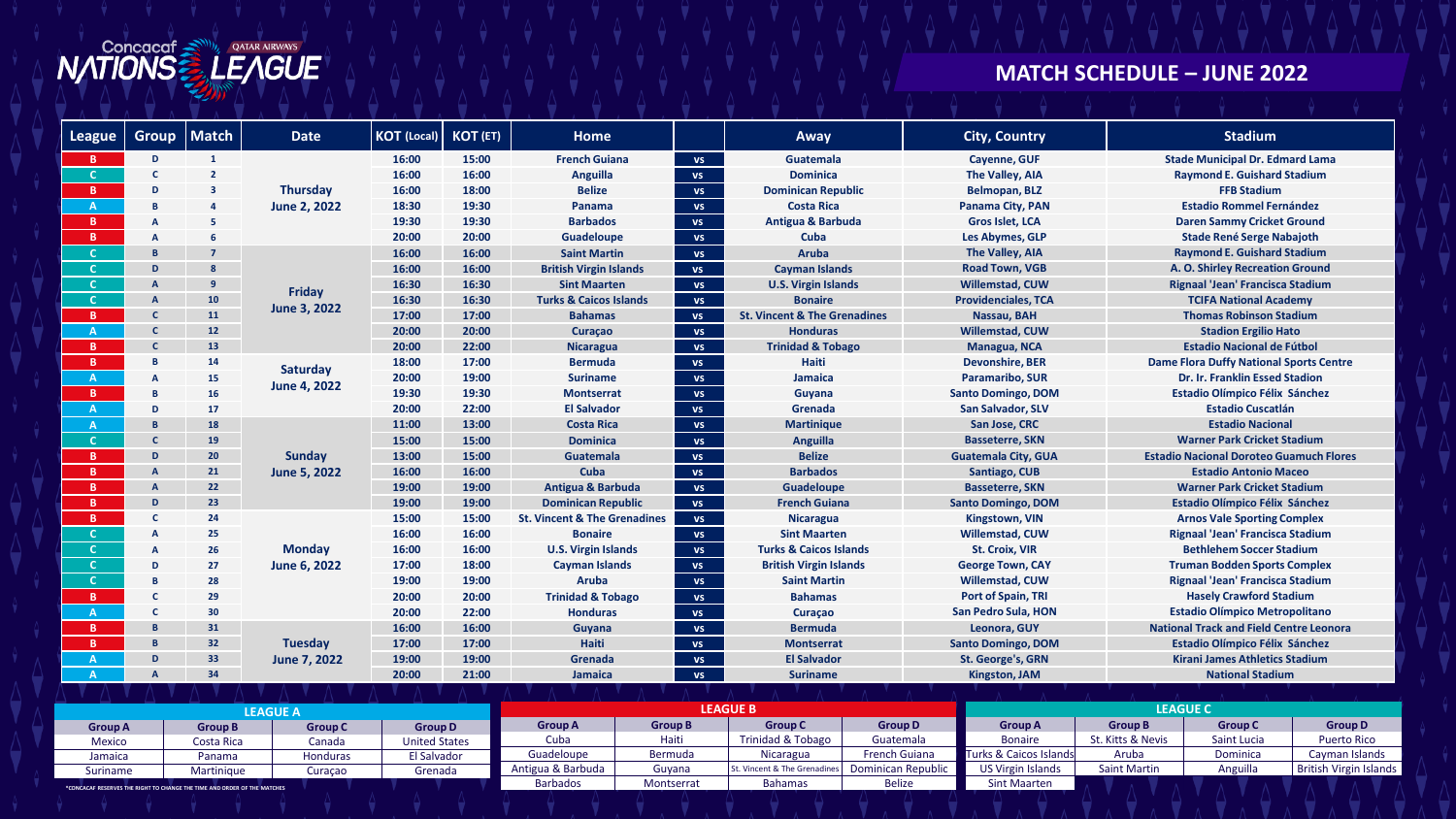

## **MATCH SCHEDULE – JUNE 2022**

| <b>League</b> | <b>Group</b> | <b>Match</b>   | <b>Date</b>                     | <b>KOT (Local)</b> | KOT (ET) | <b>Home</b>                             |           | Away                                    | <b>City, Country</b>       | <b>Stadium</b>                                 |  |  |
|---------------|--------------|----------------|---------------------------------|--------------------|----------|-----------------------------------------|-----------|-----------------------------------------|----------------------------|------------------------------------------------|--|--|
| В.            | D            | $\mathbf{1}$   |                                 | 16:00              | 15:00    | <b>French Guiana</b>                    | <b>VS</b> | <b>Guatemala</b>                        | Cayenne, GUF               | <b>Stade Municipal Dr. Edmard Lama</b>         |  |  |
|               | C            | $\overline{2}$ | <b>Thursday</b><br>June 2, 2022 | 16:00              | 16:00    | Anguilla                                | <b>VS</b> | <b>Dominica</b>                         | The Valley, AIA            | <b>Raymond E. Guishard Stadium</b>             |  |  |
| B.            | D            | з              |                                 | 16:00              | 18:00    | <b>Belize</b>                           | <b>VS</b> | <b>Dominican Republic</b>               | <b>Belmopan, BLZ</b>       | <b>FFB Stadium</b>                             |  |  |
| $\mathsf{A}$  | B            | 4              |                                 | 18:30              | 19:30    | Panama                                  | <b>VS</b> | <b>Costa Rica</b>                       | Panama City, PAN           | <b>Estadio Rommel Fernández</b>                |  |  |
| B.            | A            | 5              |                                 | 19:30              | 19:30    | <b>Barbados</b>                         | <b>VS</b> | <b>Antigua &amp; Barbuda</b>            | Gros Islet, LCA            | <b>Daren Sammy Cricket Ground</b>              |  |  |
| B.            | A            | 6              |                                 | 20:00              | 20:00    | <b>Guadeloupe</b>                       | <b>VS</b> | Cuba                                    | Les Abymes, GLP            | <b>Stade René Serge Nabajoth</b>               |  |  |
|               | $\mathbf{B}$ | 7              |                                 | 16:00              | 16:00    | <b>Saint Martin</b>                     | <b>VS</b> | <b>Aruba</b>                            | The Valley, AIA            | <b>Raymond E. Guishard Stadium</b>             |  |  |
|               | D.           | 8              |                                 | 16:00              | 16:00    | <b>British Virgin Islands</b>           | <b>VS</b> | <b>Cayman Islands</b>                   | <b>Road Town, VGB</b>      | A. O. Shirley Recreation Ground                |  |  |
|               | $\mathbf{A}$ | 9              |                                 | 16:30              | 16:30    | <b>Sint Maarten</b>                     | <b>VS</b> | <b>U.S. Virgin Islands</b>              | <b>Willemstad, CUW</b>     | Rignaal 'Jean' Francisca Stadium               |  |  |
|               | $\mathsf{A}$ | 10             | Friday                          | 16:30              | 16:30    | <b>Turks &amp; Caicos Islands</b>       | <b>VS</b> | <b>Bonaire</b>                          | <b>Providenciales, TCA</b> | <b>TCIFA National Academy</b>                  |  |  |
| B.            | $\mathsf{C}$ | 11             | June 3, 2022                    | 17:00              | 17:00    | <b>Bahamas</b>                          | <b>VS</b> | <b>St. Vincent &amp; The Grenadines</b> | Nassau, BAH                | <b>Thomas Robinson Stadium</b>                 |  |  |
|               | $\mathsf{C}$ | 12             |                                 | 20:00              | 20:00    | <b>Curacao</b>                          | <b>VS</b> | <b>Honduras</b>                         | <b>Willemstad, CUW</b>     | <b>Stadion Ergilio Hato</b>                    |  |  |
| B.            | $\mathsf{C}$ | 13             |                                 | 20:00              | 22:00    | <b>Nicaragua</b>                        | <b>VS</b> | <b>Trinidad &amp; Tobago</b>            | Managua, NCA               | <b>Estadio Nacional de Fútbol</b>              |  |  |
| B.            | B            | 14             | Saturday<br>June 4, 2022        | 18:00              | 17:00    | <b>Bermuda</b>                          | <b>VS</b> | <b>Haiti</b>                            | <b>Devonshire, BER</b>     | <b>Dame Flora Duffy National Sports Centre</b> |  |  |
| A.            | A            | 15             |                                 | 20:00              | 19:00    | <b>Suriname</b>                         | <b>VS</b> | Jamaica                                 | <b>Paramaribo, SUR</b>     | <b>Dr. Ir. Franklin Essed Stadion</b>          |  |  |
| B.            | B            | <b>16</b>      |                                 | 19:30              | 19:30    | <b>Montserrat</b>                       | <b>VS</b> | Guyana                                  | <b>Santo Domingo, DOM</b>  | Estadio Olímpico Félix Sánchez                 |  |  |
| $\mathsf{A}$  | D            | 17             |                                 | 20:00              | 22:00    | <b>El Salvador</b>                      | <b>VS</b> | Grenada                                 | <b>San Salvador, SLV</b>   | <b>Estadio Cuscatlán</b>                       |  |  |
| A             | B.           | 18             |                                 | 11:00              | 13:00    | <b>Costa Rica</b>                       | <b>VS</b> | <b>Martinique</b>                       | San Jose, CRC              | <b>Estadio Nacional</b>                        |  |  |
|               | $\mathbf{C}$ | 19             |                                 | 15:00              | 15:00    | <b>Dominica</b>                         | <b>VS</b> | Anguilla                                | <b>Basseterre, SKN</b>     | <b>Warner Park Cricket Stadium</b>             |  |  |
| B.            | D            | 20             | Sunday                          | 13:00              | 15:00    | Guatemala                               | <b>VS</b> | <b>Belize</b>                           | <b>Guatemala City, GUA</b> | <b>Estadio Nacional Doroteo Guamuch Flores</b> |  |  |
| B.            | $\mathsf{A}$ | 21             | June 5, 2022                    | 16:00              | 16:00    | Cuba                                    | <b>VS</b> | <b>Barbados</b>                         | Santiago, CUB              | <b>Estadio Antonio Maceo</b>                   |  |  |
| B.            | $\mathsf{A}$ | 22             |                                 | 19:00              | 19:00    | <b>Antigua &amp; Barbuda</b>            | <b>VS</b> | Guadeloupe                              | <b>Basseterre, SKN</b>     | <b>Warner Park Cricket Stadium</b>             |  |  |
| B.            | D            | 23             |                                 | 19:00              | 19:00    | <b>Dominican Republic</b>               | <b>VS</b> | <b>French Guiana</b>                    | <b>Santo Domingo, DOM</b>  | <b>Estadio Olímpico Félix Sánchez</b>          |  |  |
| B.            | C            | 24             |                                 | 15:00              | 15:00    | <b>St. Vincent &amp; The Grenadines</b> | <b>VS</b> | <b>Nicaragua</b>                        | <b>Kingstown, VIN</b>      | <b>Arnos Vale Sporting Complex</b>             |  |  |
|               | A            | 25             |                                 | 16:00              | 16:00    | <b>Bonaire</b>                          | <b>VS</b> | <b>Sint Maarten</b>                     | <b>Willemstad, CUW</b>     | Rignaal 'Jean' Francisca Stadium               |  |  |
|               | A            | 26             | <b>Monday</b>                   | 16:00              | 16:00    | <b>U.S. Virgin Islands</b>              | <b>VS</b> | <b>Turks &amp; Caicos Islands</b>       | <b>St. Croix, VIR</b>      | <b>Bethlehem Soccer Stadium</b>                |  |  |
|               | D            | 27             | June 6, 2022                    | 17:00              | 18:00    | <b>Cayman Islands</b>                   | <b>VS</b> | <b>British Virgin Islands</b>           | <b>George Town, CAY</b>    | <b>Truman Bodden Sports Complex</b>            |  |  |
|               | B            | 28             |                                 | 19:00              | 19:00    | Aruba                                   | <b>VS</b> | <b>Saint Martin</b>                     | <b>Willemstad, CUW</b>     | Rignaal 'Jean' Francisca Stadium               |  |  |
| B.            | C            | 29             |                                 | 20:00              | 20:00    | <b>Trinidad &amp; Tobago</b>            | <b>VS</b> | <b>Bahamas</b>                          | <b>Port of Spain, TRI</b>  | <b>Hasely Crawford Stadium</b>                 |  |  |
| $\mathbf{A}$  | $\mathbf{C}$ | 30             |                                 | 20:00              | 22:00    | <b>Honduras</b>                         | <b>VS</b> | Curaçao                                 | San Pedro Sula, HON        | <b>Estadio Olímpico Metropolitano</b>          |  |  |
| B.            | $\mathbf{B}$ | 31             |                                 | 16:00              | 16:00    | Guyana                                  | <b>VS</b> | <b>Bermuda</b>                          | Leonora, GUY               | <b>National Track and Field Centre Leonora</b> |  |  |
| B.            | $\mathbf{B}$ | 32             | <b>Tuesday</b>                  | 17:00              | 17:00    | Haiti                                   | <b>VS</b> | <b>Montserrat</b>                       | <b>Santo Domingo, DOM</b>  | Estadio Olímpico Félix Sánchez                 |  |  |
|               | D            | 33             | June 7, 2022                    | 19:00              | 19:00    | Grenada                                 | <b>VS</b> | <b>El Salvador</b>                      | <b>St. George's, GRN</b>   | <b>Kirani James Athletics Stadium</b>          |  |  |
|               | A            | 34             |                                 | 20:00              | 21:00    | Jamaica                                 | <b>VS</b> | <b>Suriname</b>                         | <b>Kingston, JAM</b>       | <b>National Stadium</b>                        |  |  |

|                                                                          | <b>EAGUE A</b> |                |                      |                   |                | <b>LEAGUE B</b>               |                      | <b>LEAGUE C</b>          |                     |                |                        |  |
|--------------------------------------------------------------------------|----------------|----------------|----------------------|-------------------|----------------|-------------------------------|----------------------|--------------------------|---------------------|----------------|------------------------|--|
| <b>Group A</b>                                                           | <b>Group B</b> | <b>Group C</b> | <b>Group D</b>       | Group A           | <b>Group B</b> | <b>Group C</b>                | <b>Group D</b>       | <b>Group A</b>           | <b>Group B</b>      | <b>Group C</b> | <b>Group D</b>         |  |
| Mexico                                                                   | Costa Rica     | Canada         | <b>United States</b> | Cuba              | Haiti          | Trinidad & Tobago             | Guatemala            | <b>Bonaire</b>           | St. Kitts & Nevis   | Saint Lucia    | <b>Puerto Rico</b>     |  |
| Jamaica                                                                  | Panama         | Honduras       | El Salvador          | Guadeloupe        | Bermuda        | <b>Nicaragua</b>              | <b>French Guiana</b> | Turks & Caicos Islands   | Aruba               | Dominica       | Cayman Islands         |  |
| Suriname                                                                 | Martinique     | Curacao        | Grenada              | Antigua & Barbuda | Guyana         | St. Vincent & The Grenadines' | Dominican Republic   | <b>US Virgin Islands</b> | <b>Saint Martin</b> | Anguilla       | British Virgin Islands |  |
| *CONCACAF RESERVES THE RIGHT TO CHANGE THE TIME AND ORDER OF THE MATCHES |                |                |                      | <b>Barbados</b>   | Montserrat     | <b>Bahamas</b>                | <b>Belize</b>        | <b>Sint Maarten</b>      |                     |                |                        |  |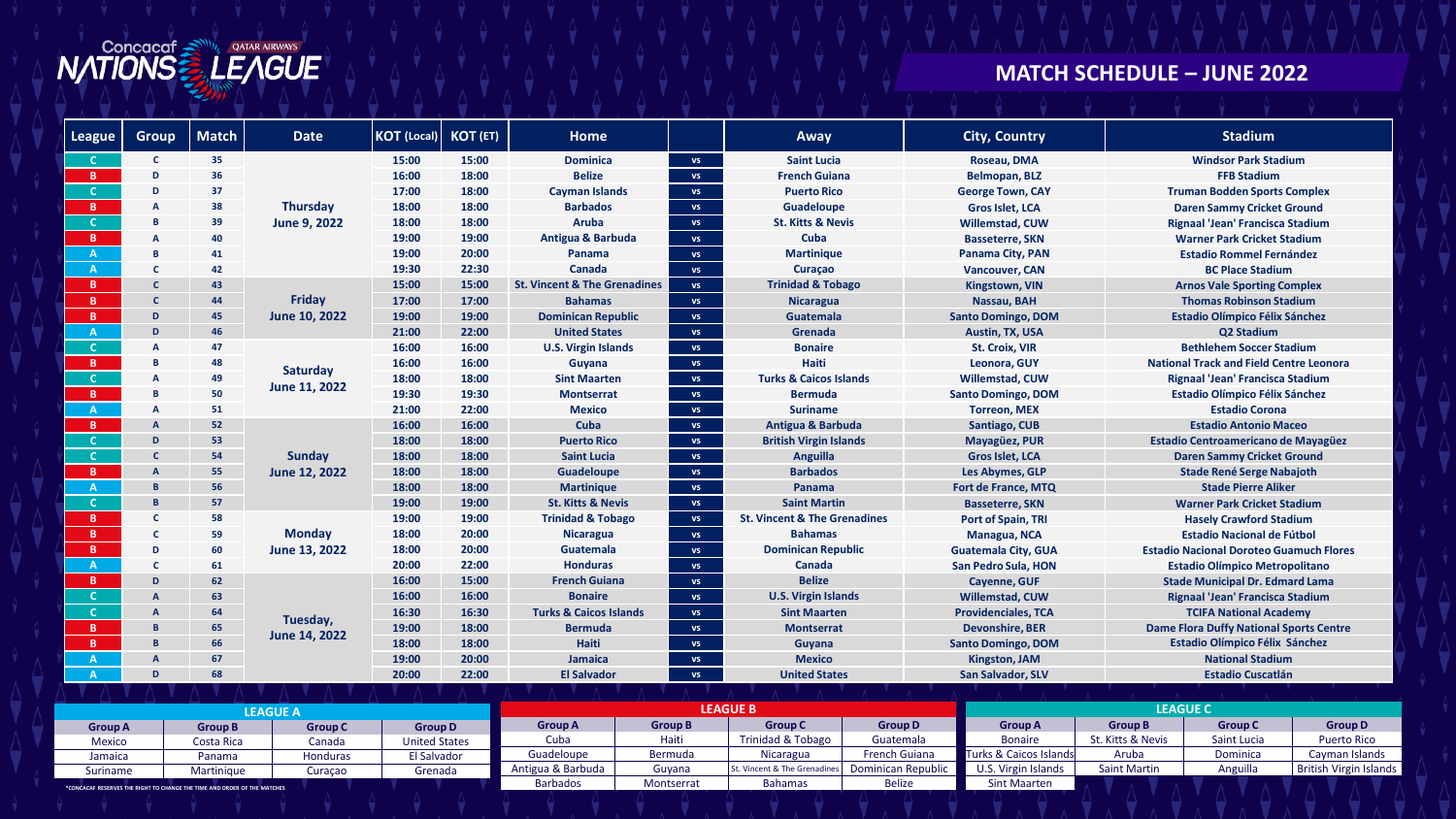

## **MATCH SCHEDULE – JUNE 2022**

| <b>League</b> | <b>Group</b>   | <b>Match</b> | <b>Date</b>                     | <b>KOT</b> (Local)                                             | <b>KOT (ET)</b>                                 | Home                                    |                 | Away                                    | <b>City, Country</b>       | <b>Stadium</b>                                 |  |
|---------------|----------------|--------------|---------------------------------|----------------------------------------------------------------|-------------------------------------------------|-----------------------------------------|-----------------|-----------------------------------------|----------------------------|------------------------------------------------|--|
|               | C.             | 35           |                                 | 15:00                                                          | 15:00                                           | <b>Dominica</b>                         | <b>VS</b>       | <b>Saint Lucia</b>                      | Roseau, DMA                | <b>Windsor Park Stadium</b>                    |  |
|               | D              | 36           | <b>Thursday</b><br>June 9, 2022 | 16:00                                                          | 18:00                                           | <b>Belize</b>                           | <b>VS</b>       | <b>French Guiana</b>                    | Belmopan, BLZ              | <b>FFB Stadium</b>                             |  |
|               | D              | 37           |                                 | 17:00                                                          | 18:00                                           | <b>Cayman Islands</b>                   | <b>VS</b>       | <b>Puerto Rico</b>                      | <b>George Town, CAY</b>    | <b>Truman Bodden Sports Complex</b>            |  |
|               | A              | 38           |                                 | 18:00                                                          | 18:00                                           | <b>Barbados</b>                         | <b>VS</b>       | Guadeloupe                              | Gros Islet, LCA            | <b>Daren Sammy Cricket Ground</b>              |  |
|               | B              | 39           |                                 | 18:00                                                          | 18:00                                           | Aruba                                   | <b>VS</b>       | <b>St. Kitts &amp; Nevis</b>            | <b>Willemstad, CUW</b>     | Rignaal 'Jean' Francisca Stadium               |  |
| <b>B</b>      |                | 40           |                                 | 19:00                                                          | 19:00                                           | Antigua & Barbuda                       | <b>VS</b>       | Cuba                                    | <b>Basseterre, SKN</b>     | <b>Warner Park Cricket Stadium</b>             |  |
|               | B              | 41           |                                 | 19:00                                                          | 20:00                                           | Panama                                  | <b>VS</b>       | <b>Martinique</b>                       | Panama City, PAN           | <b>Estadio Rommel Fernández</b>                |  |
|               | C.             | 42           |                                 | 19:30                                                          | 22:30                                           | Canada                                  | <b>VS</b>       | Curaçao                                 | <b>Vancouver, CAN</b>      | <b>BC Place Stadium</b>                        |  |
| <b>B</b>      | $\mathsf{C}$   | 43           |                                 | 15:00                                                          | 15:00                                           | <b>St. Vincent &amp; The Grenadines</b> | <b>VS</b>       | <b>Trinidad &amp; Tobago</b>            | <b>Kingstown, VIN</b>      | <b>Arnos Vale Sporting Complex</b>             |  |
| B.            | C              | 44           | <b>Fridav</b>                   | 17:00                                                          | 17:00                                           | <b>Bahamas</b>                          | <b>VS</b>       | <b>Nicaragua</b>                        | Nassau, BAH                | <b>Thomas Robinson Stadium</b>                 |  |
| B.            | D              | 45           | June 10, 2022                   | 19:00                                                          | 19:00<br><b>Dominican Republic</b><br><b>VS</b> |                                         |                 | <b>Guatemala</b>                        | <b>Santo Domingo, DOM</b>  | <b>Estadio Olímpico Félix Sánchez</b>          |  |
|               | D              | 46           |                                 | 21:00<br>22:00<br><b>United States</b><br>Grenada<br><b>VS</b> |                                                 |                                         | Austin, TX, USA | Q2 Stadium                              |                            |                                                |  |
|               | A              | 47           |                                 | 16:00                                                          | 16:00                                           | <b>U.S. Virgin Islands</b>              | <b>VS</b>       | <b>Bonaire</b>                          | <b>St. Croix, VIR</b>      | <b>Bethlehem Soccer Stadium</b>                |  |
| B.            | B              | 48           | Saturday                        | 16:00<br>16:00<br>18:00<br>18:00                               |                                                 | Guyana                                  | <b>VS</b>       | Haiti                                   | Leonora, GUY               | <b>National Track and Field Centre Leonora</b> |  |
|               | A              | 49           |                                 |                                                                |                                                 | <b>Sint Maarten</b>                     | <b>VS</b>       | <b>Turks &amp; Caicos Islands</b>       | <b>Willemstad, CUW</b>     | Rignaal 'Jean' Francisca Stadium               |  |
| B.            | <b>B</b>       | 50           | June 11, 2022                   | 19:30                                                          | 19:30                                           | <b>Montserrat</b>                       | <b>VS</b>       | <b>Bermuda</b>                          | <b>Santo Domingo, DOM</b>  | <b>Estadio Olímpico Félix Sánchez</b>          |  |
|               | A              | 51           |                                 | 21:00                                                          | 22:00                                           | <b>Mexico</b>                           | <b>VS</b>       | <b>Suriname</b>                         | <b>Torreon, MEX</b>        | <b>Estadio Corona</b>                          |  |
| B.            | $\overline{A}$ | 52           |                                 | 16:00                                                          | 16:00                                           | Cuba                                    | <b>VS</b>       | <b>Antigua &amp; Barbuda</b>            | <b>Santiago, CUB</b>       | <b>Estadio Antonio Maceo</b>                   |  |
|               | D              | 53           | Sunday                          | 18:00                                                          | 18:00                                           | <b>Puerto Rico</b>                      | <b>VS</b>       | <b>British Virgin Islands</b>           | Mayagüez, PUR              | <b>Estadio Centroamericano de Mayagüez</b>     |  |
|               | C              | 54           |                                 | 18:00                                                          | 18:00                                           | <b>Saint Lucia</b>                      | <b>VS</b>       | Anguilla                                | <b>Gros Islet, LCA</b>     | <b>Daren Sammy Cricket Ground</b>              |  |
| B.            |                | 55           | June 12, 2022                   | 18:00                                                          | 18:00                                           | <b>Guadeloupe</b><br><b>VS</b>          |                 | <b>Barbados</b>                         | Les Abymes, GLP            | <b>Stade René Serge Nabajoth</b>               |  |
| $\mathbf{A}$  | B.             | 56           |                                 | 18:00                                                          | 18:00                                           | <b>Martinique</b>                       | <b>VS</b>       | Panama                                  | Fort de France, MTQ        | <b>Stade Pierre Aliker</b>                     |  |
|               | B.             | 57           |                                 | 19:00                                                          | 19:00                                           | <b>St. Kitts &amp; Nevis</b>            | <b>VS</b>       | <b>Saint Martin</b>                     | <b>Basseterre, SKN</b>     | <b>Warner Park Cricket Stadium</b>             |  |
| B.            | C              | 58           |                                 | 19:00                                                          | 19:00                                           | <b>Trinidad &amp; Tobago</b>            | <b>VS</b>       | <b>St. Vincent &amp; The Grenadines</b> | Port of Spain, TRI         | <b>Hasely Crawford Stadium</b>                 |  |
| B             | $\mathbf{C}$   | 59           | <b>Monday</b>                   | 18:00                                                          | 20:00                                           | <b>Nicaragua</b>                        | <b>VS</b>       | <b>Bahamas</b>                          | Managua, NCA               | <b>Estadio Nacional de Fútbol</b>              |  |
| B             | D              | 60           | June 13, 2022                   | 18:00                                                          | 20:00                                           | Guatemala                               | <b>VS</b>       | <b>Dominican Republic</b>               | <b>Guatemala City, GUA</b> | <b>Estadio Nacional Doroteo Guamuch Flores</b> |  |
| $\mathbf{A}$  | C              | 61           |                                 | 20:00                                                          | 22:00                                           | <b>Honduras</b>                         | <b>VS</b>       | Canada                                  | San Pedro Sula, HON        | <b>Estadio Olímpico Metropolitano</b>          |  |
| B.            | D              | 62           |                                 | 16:00                                                          | 15:00                                           | <b>French Guiana</b>                    | <b>VS</b>       | <b>Belize</b>                           | Cayenne, GUF               | <b>Stade Municipal Dr. Edmard Lama</b>         |  |
|               | $\mathsf{A}$   | 63           |                                 | 16:00                                                          | 16:00                                           | <b>Bonaire</b>                          | <b>VS</b>       | <b>U.S. Virgin Islands</b>              | <b>Willemstad, CUW</b>     | Rignaal 'Jean' Francisca Stadium               |  |
|               | A              | 64           | Tuesday,                        | 16:30                                                          | 16:30                                           | <b>Turks &amp; Caicos Islands</b>       | <b>VS</b>       | <b>Sint Maarten</b>                     | <b>Providenciales, TCA</b> | <b>TCIFA National Academy</b>                  |  |
| <b>B</b>      | B              | 65           | June 14, 2022                   | 19:00                                                          | 18:00                                           | <b>Bermuda</b>                          | <b>VS</b>       | <b>Montserrat</b>                       | <b>Devonshire, BER</b>     | <b>Dame Flora Duffy National Sports Centre</b> |  |
|               | <b>B</b>       | 66           |                                 | 18:00                                                          | 18:00                                           | Haiti                                   | <b>VS</b>       | Guyana                                  | <b>Santo Domingo, DOM</b>  | <b>Estadio Olímpico Félix Sánchez</b>          |  |
|               | A              | 67           |                                 | 19:00                                                          | 20:00                                           | Jamaica                                 | <b>VS</b>       | <b>Mexico</b>                           | Kingston, JAM              | <b>National Stadium</b>                        |  |
|               | D              | 68           |                                 | 20:00                                                          | 22:00                                           | <b>El Salvador</b>                      | <b>VS</b>       | <b>United States</b>                    | <b>San Salvador, SLV</b>   | <b>Estadio Cuscatlán</b>                       |  |

|                | <b>EAGUE A</b>                                                                  |          |                      |                   |                | <b>LEAGUE B</b>              |                      | <b>LEAGUE C</b>        |                     |                |                        |  |
|----------------|---------------------------------------------------------------------------------|----------|----------------------|-------------------|----------------|------------------------------|----------------------|------------------------|---------------------|----------------|------------------------|--|
| <b>Group A</b> | <b>Group C</b><br><b>Group B</b>                                                |          | <b>Group D</b>       | <b>Group A</b>    | <b>Group B</b> | <b>Group C</b>               | <b>Group D</b>       | <b>Group A</b>         | <b>Group B</b>      | <b>Group C</b> | <b>Group D</b>         |  |
| Mexico         | Costa Rica                                                                      | Canada   | <b>United States</b> | Cuba              | Haiti          | Trinidad & Tobago            | Guatemala            | <b>Bonaire</b>         | St. Kitts & Nevis   | Saint Lucia    | <b>Puerto Rico</b>     |  |
| Jamaica        | Panama                                                                          | Honduras | El Salvador          | Guadeloupe        | Bermuda        | Nicaragua                    | <b>French Guiana</b> | Turks & Caicos Islands | Aruba               | Dominica       | Cayman Islands         |  |
| Suriname       | Martinique                                                                      | Curacao  | Grenada              | Antigua & Barbuda | Guyana         | St. Vincent & The Grenadines | Dominican Republic   | U.S. Virgin Islands    | <b>Saint Martin</b> | Anguilla       | British Virgin Islands |  |
|                | <b>*CONCACAF RESERVES THE RIGHT TO CHANGE THE TIME AND ORDER OF THE MATCHES</b> |          |                      | <b>Barbados</b>   | Montserrat     | <b>Bahamas</b>               | <b>Belize</b>        | <b>Sint Maarten</b>    |                     |                |                        |  |